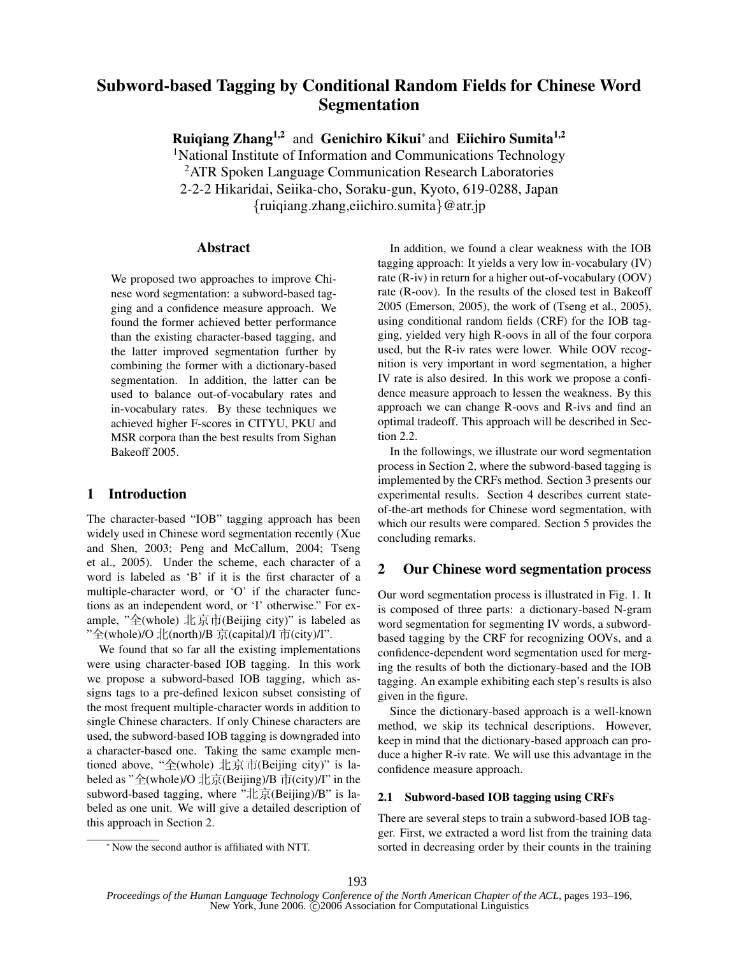# Subword-based Tagging by Conditional Random Fields for Chinese Word Segmentation

Ruiqiang Zhang<sup>1,2</sup> and Genichiro Kikui<sup>\*</sup> and Eiichiro Sumita<sup>1,2</sup>

<sup>1</sup>National Institute of Information and Communications Technology <sup>2</sup>ATR Spoken Language Communication Research Laboratories 2-2-2 Hikaridai, Seiika-cho, Soraku-gun, Kyoto, 619-0288, Japan {ruiqiang.zhang,eiichiro.sumita}@atr.jp

#### Abstract

We proposed two approaches to improve Chinese word segmentation: a subword-based tagging and a confidence measure approach. We found the former achieved better performance than the existing character-based tagging, and the latter improved segmentation further by combining the former with a dictionary-based segmentation. In addition, the latter can be used to balance out-of-vocabulary rates and in-vocabulary rates. By these techniques we achieved higher F-scores in CITYU, PKU and MSR corpora than the best results from Sighan Bakeoff 2005.

### 1 Introduction

The character-based "IOB" tagging approach has been widely used in Chinese word segmentation recently (Xue and Shen, 2003; Peng and McCallum, 2004; Tseng et al., 2005). Under the scheme, each character of a word is labeled as 'B' if it is the first character of a multiple-character word, or 'O' if the character functions as an independent word, or 'I' otherwise." For example, "全(whole) 北京市(Beijing city)" is labeled as "全(whole)/O 北(north)/B 京(capital)/I 市(city)/I".

We found that so far all the existing implementations were using character-based IOB tagging. In this work we propose a subword-based IOB tagging, which assigns tags to a pre-defined lexicon subset consisting of the most frequent multiple-character words in addition to single Chinese characters. If only Chinese characters are used, the subword-based IOB tagging is downgraded into a character-based one. Taking the same example mentioned above, "全(whole) 北京市(Beijing city)" is labeled as "全(whole)/O 北京(Beijing)/B 市(city)/I" in the subword-based tagging, where " $\pm \bar{\text{R}}$ (Beijing)/B" is labeled as one unit. We will give a detailed description of this approach in Section 2.

In addition, we found a clear weakness with the IOB tagging approach: It yields a very low in-vocabulary (IV) rate (R-iv) in return for a higher out-of-vocabulary (OOV) rate (R-oov). In the results of the closed test in Bakeoff 2005 (Emerson, 2005), the work of (Tseng et al., 2005), using conditional random fields (CRF) for the IOB tagging, yielded very high R-oovs in all of the four corpora used, but the R-iv rates were lower. While OOV recognition is very important in word segmentation, a higher IV rate is also desired. In this work we propose a confidence measure approach to lessen the weakness. By this approach we can change R-oovs and R-ivs and find an optimal tradeoff. This approach will be described in Section 2.2.

In the followings, we illustrate our word segmentation process in Section 2, where the subword-based tagging is implemented by the CRFs method. Section 3 presents our experimental results. Section 4 describes current stateof-the-art methods for Chinese word segmentation, with which our results were compared. Section 5 provides the concluding remarks.

### 2 Our Chinese word segmentation process

Our word segmentation process is illustrated in Fig. 1. It is composed of three parts: a dictionary-based N-gram word segmentation for segmenting IV words, a subwordbased tagging by the CRF for recognizing OOVs, and a confidence-dependent word segmentation used for merging the results of both the dictionary-based and the IOB tagging. An example exhibiting each step's results is also given in the figure.

Since the dictionary-based approach is a well-known method, we skip its technical descriptions. However, keep in mind that the dictionary-based approach can produce a higher R-iv rate. We will use this advantage in the confidence measure approach.

#### 2.1 Subword-based IOB tagging using CRFs

There are several steps to train a subword-based IOB tagger. First, we extracted a word list from the training data sorted in decreasing order by their counts in the training

<sup>∗</sup> Now the second author is affiliated with NTT.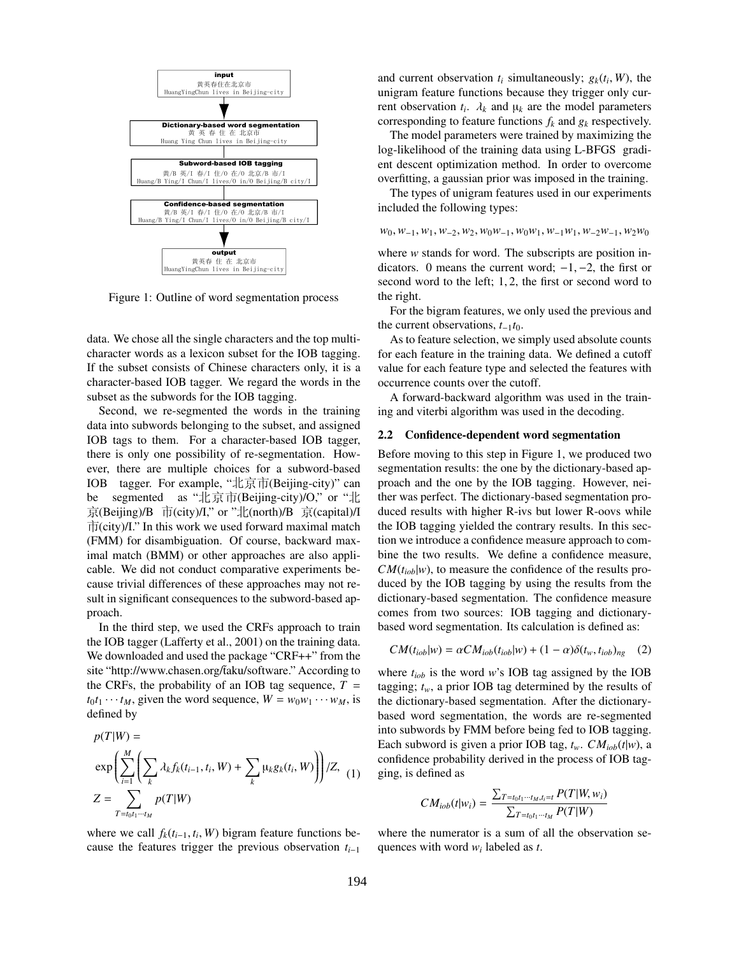

Figure 1: Outline of word segmentation process

data. We chose all the single characters and the top multicharacter words as a lexicon subset for the IOB tagging. If the subset consists of Chinese characters only, it is a character-based IOB tagger. We regard the words in the subset as the subwords for the IOB tagging.

Second, we re-segmented the words in the training data into subwords belonging to the subset, and assigned IOB tags to them. For a character-based IOB tagger, there is only one possibility of re-segmentation. However, there are multiple choices for a subword-based IOB tagger. For example, "北京市(Beijing-city)" can be segmented as " $\pm \bar{x}$  m (Beijing-city)/O," or " $\pm \bar{x}$  $\overline{\mathcal{R}}$ (Beijing)/B  $\overline{\mathcal{T}}$ (city)/I," or " $\mathcal{L}$ (north)/B  $\overline{\mathcal{R}}$ (capital)/I  $\overrightarrow{\Pi}$ (city)/I." In this work we used forward maximal match (FMM) for disambiguation. Of course, backward maximal match (BMM) or other approaches are also applicable. We did not conduct comparative experiments because trivial differences of these approaches may not result in significant consequences to the subword-based approach.

In the third step, we used the CRFs approach to train the IOB tagger (Lafferty et al., 2001) on the training data. We downloaded and used the package "CRF++" from the site "http://www.chasen.org/taku/software." According to the CRFs, the probability of an IOB tag sequence,  $T =$  $t_0t_1 \cdots t_M$ , given the word sequence,  $W = w_0w_1 \cdots w_M$ , is defined by

$$
p(T|W) =
$$
  
\n
$$
\exp\left(\sum_{i=1}^{M} \left(\sum_{k} \lambda_{k} f_{k}(t_{i-1}, t_{i}, W) + \sum_{k} \mu_{k} g_{k}(t_{i}, W)\right)\right) / Z,
$$
  
\n
$$
Z = \sum_{T = t_{0} t_{1} \cdots t_{M}} p(T|W)
$$

where we call  $f_k(t_{i-1}, t_i, W)$  bigram feature functions because the features trigger the previous observation  $t_{i-1}$ 

and current observation  $t_i$  simultaneously;  $g_k(t_i, W)$ , the unigram feature functions because they trigger only current observation  $t_i$ .  $\lambda_k$  and  $\mu_k$  are the model parameters corresponding to feature functions  $f_k$  and  $g_k$  respectively.

The model parameters were trained by maximizing the log-likelihood of the training data using L-BFGS gradient descent optimization method. In order to overcome overfitting, a gaussian prior was imposed in the training.

The types of unigram features used in our experiments included the following types:

 $w_0, w_{-1}, w_1, w_{-2}, w_2, w_0w_{-1}, w_0w_1, w_{-1}w_1, w_{-2}w_{-1}, w_2w_0$ 

where  $w$  stands for word. The subscripts are position indicators. 0 means the current word;  $-1, -2$ , the first or second word to the left; 1, 2, the first or second word to the right.

For the bigram features, we only used the previous and the current observations,  $t_{-1}t_0$ .

As to feature selection, we simply used absolute counts for each feature in the training data. We defined a cutoff value for each feature type and selected the features with occurrence counts over the cutoff.

A forward-backward algorithm was used in the training and viterbi algorithm was used in the decoding.

#### 2.2 Confidence-dependent word segmentation

Before moving to this step in Figure 1, we produced two segmentation results: the one by the dictionary-based approach and the one by the IOB tagging. However, neither was perfect. The dictionary-based segmentation produced results with higher R-ivs but lower R-oovs while the IOB tagging yielded the contrary results. In this section we introduce a confidence measure approach to combine the two results. We define a confidence measure,  $CM(t<sub>iob</sub>|w)$ , to measure the confidence of the results produced by the IOB tagging by using the results from the dictionary-based segmentation. The confidence measure comes from two sources: IOB tagging and dictionarybased word segmentation. Its calculation is defined as:

$$
CM(t_{iob}|w) = \alpha CM_{iob}(t_{iob}|w) + (1 - \alpha)\delta(t_w, t_{iob})_{ng} \quad (2)
$$

where  $t_{i\text{ob}}$  is the word w's IOB tag assigned by the IOB tagging;  $t_w$ , a prior IOB tag determined by the results of the dictionary-based segmentation. After the dictionarybased word segmentation, the words are re-segmented into subwords by FMM before being fed to IOB tagging. Each subword is given a prior IOB tag,  $t_w$ .  $CM_{i\text{ob}}(t|w)$ , a confidence probability derived in the process of IOB tagging, is defined as

$$
CM_{iob}(t|w_i) = \frac{\sum_{T=t_0t_1\cdots t_M,t_i=t} P(T|W,w_i)}{\sum_{T=t_0t_1\cdots t_M} P(T|W)}
$$

where the numerator is a sum of all the observation sequences with word  $w_i$  labeled as t.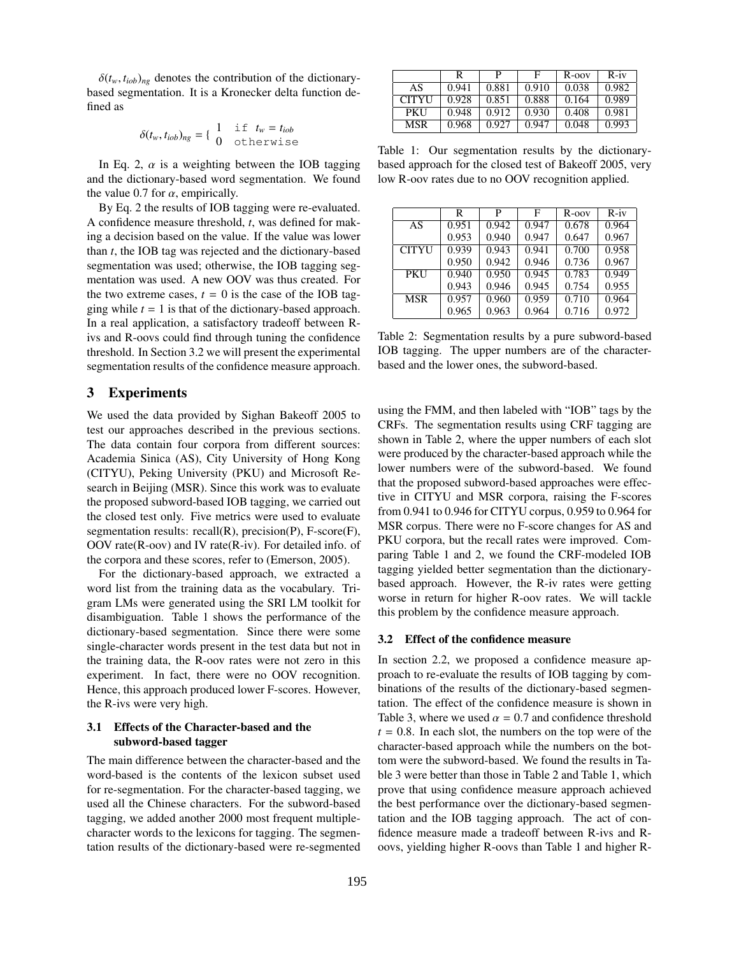$\delta(t_w, t_{iob})_{ng}$  denotes the contribution of the dictionarybased segmentation. It is a Kronecker delta function defined as

$$
\delta(t_w,t_{iob})_{ng} = \begin{cases} 1 & \text{if } t_w = t_{iob} \\ 0 & \text{otherwise} \end{cases}
$$

In Eq. 2,  $\alpha$  is a weighting between the IOB tagging and the dictionary-based word segmentation. We found the value 0.7 for  $\alpha$ , empirically.

By Eq. 2 the results of IOB tagging were re-evaluated. A confidence measure threshold, t, was defined for making a decision based on the value. If the value was lower than  $t$ , the IOB tag was rejected and the dictionary-based segmentation was used; otherwise, the IOB tagging segmentation was used. A new OOV was thus created. For the two extreme cases,  $t = 0$  is the case of the IOB tagging while  $t = 1$  is that of the dictionary-based approach. In a real application, a satisfactory tradeoff between Rivs and R-oovs could find through tuning the confidence threshold. In Section 3.2 we will present the experimental segmentation results of the confidence measure approach.

## 3 Experiments

We used the data provided by Sighan Bakeoff 2005 to test our approaches described in the previous sections. The data contain four corpora from different sources: Academia Sinica (AS), City University of Hong Kong (CITYU), Peking University (PKU) and Microsoft Research in Beijing (MSR). Since this work was to evaluate the proposed subword-based IOB tagging, we carried out the closed test only. Five metrics were used to evaluate segmentation results: recall(R), precision(P), F-score(F), OOV rate(R-oov) and IV rate(R-iv). For detailed info. of the corpora and these scores, refer to (Emerson, 2005).

For the dictionary-based approach, we extracted a word list from the training data as the vocabulary. Trigram LMs were generated using the SRI LM toolkit for disambiguation. Table 1 shows the performance of the dictionary-based segmentation. Since there were some single-character words present in the test data but not in the training data, the R-oov rates were not zero in this experiment. In fact, there were no OOV recognition. Hence, this approach produced lower F-scores. However, the R-ivs were very high.

#### 3.1 Effects of the Character-based and the subword-based tagger

The main difference between the character-based and the word-based is the contents of the lexicon subset used for re-segmentation. For the character-based tagging, we used all the Chinese characters. For the subword-based tagging, we added another 2000 most frequent multiplecharacter words to the lexicons for tagging. The segmentation results of the dictionary-based were re-segmented

|              | R     | р     | Е     | $R$ -oov | $R - iv$ |
|--------------|-------|-------|-------|----------|----------|
| AS           | 0.941 | 0.881 | 0.910 | 0.038    | 0.982    |
| <b>CITYU</b> | 0.928 | 0.851 | 0.888 | 0.164    | 0.989    |
| <b>PKU</b>   | 0.948 | 0.912 | 0.930 | 0.408    | 0.981    |
| MSR          | 0.968 | 0.927 | 0.947 | 0.048    | 0.993    |

Table 1: Our segmentation results by the dictionarybased approach for the closed test of Bakeoff 2005, very low R-oov rates due to no OOV recognition applied.

|              | R     | P     | F     | $R$ -oov | $R - iv$ |
|--------------|-------|-------|-------|----------|----------|
| AS           | 0.951 | 0.942 | 0.947 | 0.678    | 0.964    |
|              | 0.953 | 0.940 | 0.947 | 0.647    | 0.967    |
| <b>CITYU</b> | 0.939 | 0.943 | 0.941 | 0.700    | 0.958    |
|              | 0.950 | 0.942 | 0.946 | 0.736    | 0.967    |
| <b>PKU</b>   | 0.940 | 0.950 | 0.945 | 0.783    | 0.949    |
|              | 0.943 | 0.946 | 0.945 | 0.754    | 0.955    |
| <b>MSR</b>   | 0.957 | 0.960 | 0.959 | 0.710    | 0.964    |
|              | 0.965 | 0.963 | 0.964 | 0.716    | 0.972    |

Table 2: Segmentation results by a pure subword-based IOB tagging. The upper numbers are of the characterbased and the lower ones, the subword-based.

using the FMM, and then labeled with "IOB" tags by the CRFs. The segmentation results using CRF tagging are shown in Table 2, where the upper numbers of each slot were produced by the character-based approach while the lower numbers were of the subword-based. We found that the proposed subword-based approaches were effective in CITYU and MSR corpora, raising the F-scores from 0.941 to 0.946 for CITYU corpus, 0.959 to 0.964 for MSR corpus. There were no F-score changes for AS and PKU corpora, but the recall rates were improved. Comparing Table 1 and 2, we found the CRF-modeled IOB tagging yielded better segmentation than the dictionarybased approach. However, the R-iv rates were getting worse in return for higher R-oov rates. We will tackle this problem by the confidence measure approach.

#### 3.2 Effect of the confidence measure

In section 2.2, we proposed a confidence measure approach to re-evaluate the results of IOB tagging by combinations of the results of the dictionary-based segmentation. The effect of the confidence measure is shown in Table 3, where we used  $\alpha = 0.7$  and confidence threshold  $t = 0.8$ . In each slot, the numbers on the top were of the character-based approach while the numbers on the bottom were the subword-based. We found the results in Table 3 were better than those in Table 2 and Table 1, which prove that using confidence measure approach achieved the best performance over the dictionary-based segmentation and the IOB tagging approach. The act of confidence measure made a tradeoff between R-ivs and Roovs, yielding higher R-oovs than Table 1 and higher R-